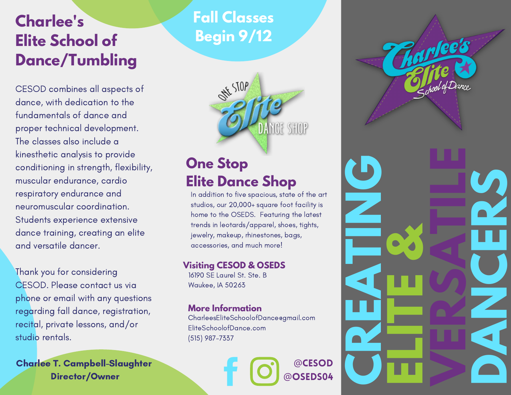# **Charlee's Elite School of Dance/Tumbling**

CESOD combines all aspects of dance, with dedication to the fundamentals of dance and proper technical development. The classes also include a kinesthetic analysis to provide conditioning in strength, flexibility, muscular endurance, cardio respiratory endurance and neuromuscular coordination. Students experience extensive dance training, creating an elite and versatile dancer.

Thank you for considering CESOD. Please contact us via phone or email with any questions regarding fall dance, registration, recital, private lessons, and/or studio rentals.

Charlee T. Campbell-Slaughter

# **Fall Classes Begin 9/12**



## **One Stop Elite Dance Shop**

In addition to five spacious, state of the art studios, our 20,000+ square foot facility is home to the OSEDS. Featuring the latest trends in leotards/apparel, shoes, tights, jewelry, makeup, rhinestones, bags, accessories, and much more!

#### **Visiting CESOD & OSEDS**

16190 SE Laurel St. Ste. B Waukee, IA 50263

### **More Information**

CharleesEliteSchoolofDance@gmail.com EliteSchoolofDance.com (515) 987-7337

> @CESOD @OSEDS04